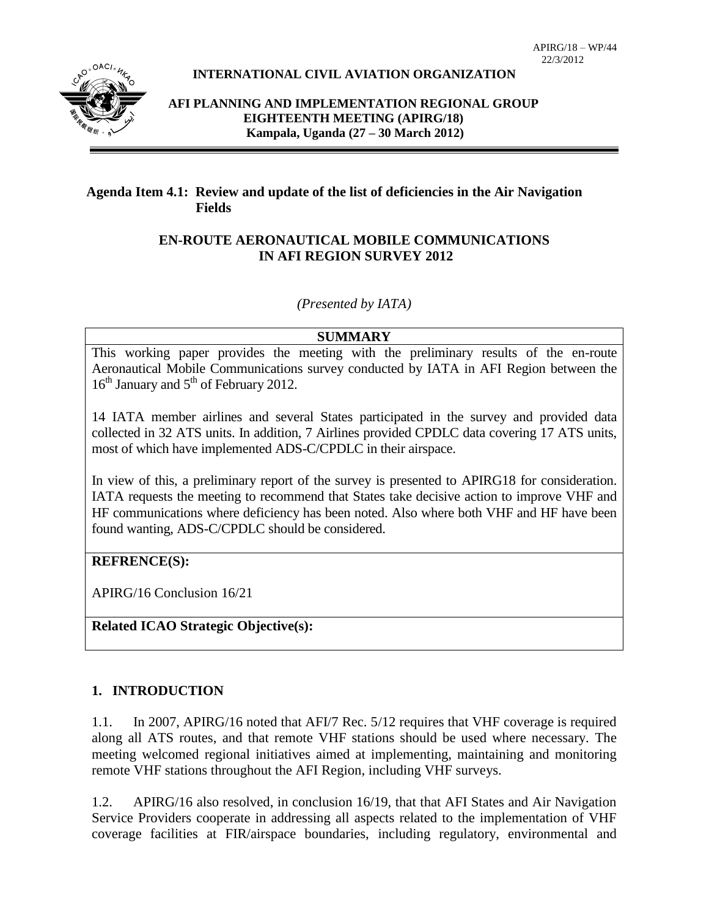

#### **INTERNATIONAL CIVIL AVIATION ORGANIZATION**

**AFI PLANNING AND IMPLEMENTATION REGIONAL GROUP EIGHTEENTH MEETING (APIRG/18) Kampala, Uganda (27 – 30 March 2012)**

#### **Agenda Item 4.1: Review and update of the list of deficiencies in the Air Navigation Fields**

#### **EN-ROUTE AERONAUTICAL MOBILE COMMUNICATIONS IN AFI REGION SURVEY 2012**

*(Presented by IATA)*

#### **SUMMARY**

This working paper provides the meeting with the preliminary results of the en-route Aeronautical Mobile Communications survey conducted by IATA in AFI Region between the 16<sup>th</sup> January and 5<sup>th</sup> of February 2012.

14 IATA member airlines and several States participated in the survey and provided data collected in 32 ATS units. In addition, 7 Airlines provided CPDLC data covering 17 ATS units, most of which have implemented ADS-C/CPDLC in their airspace.

In view of this, a preliminary report of the survey is presented to APIRG18 for consideration. IATA requests the meeting to recommend that States take decisive action to improve VHF and HF communications where deficiency has been noted. Also where both VHF and HF have been found wanting, ADS-C/CPDLC should be considered.

### **REFRENCE(S):**

APIRG/16 Conclusion 16/21

### **Related ICAO Strategic Objective(s):**

# **1. INTRODUCTION**

1.1. In 2007, APIRG/16 noted that AFI/7 Rec. 5/12 requires that VHF coverage is required along all ATS routes, and that remote VHF stations should be used where necessary. The meeting welcomed regional initiatives aimed at implementing, maintaining and monitoring remote VHF stations throughout the AFI Region, including VHF surveys.

1.2. APIRG/16 also resolved, in conclusion 16/19, that that AFI States and Air Navigation Service Providers cooperate in addressing all aspects related to the implementation of VHF coverage facilities at FIR/airspace boundaries, including regulatory, environmental and